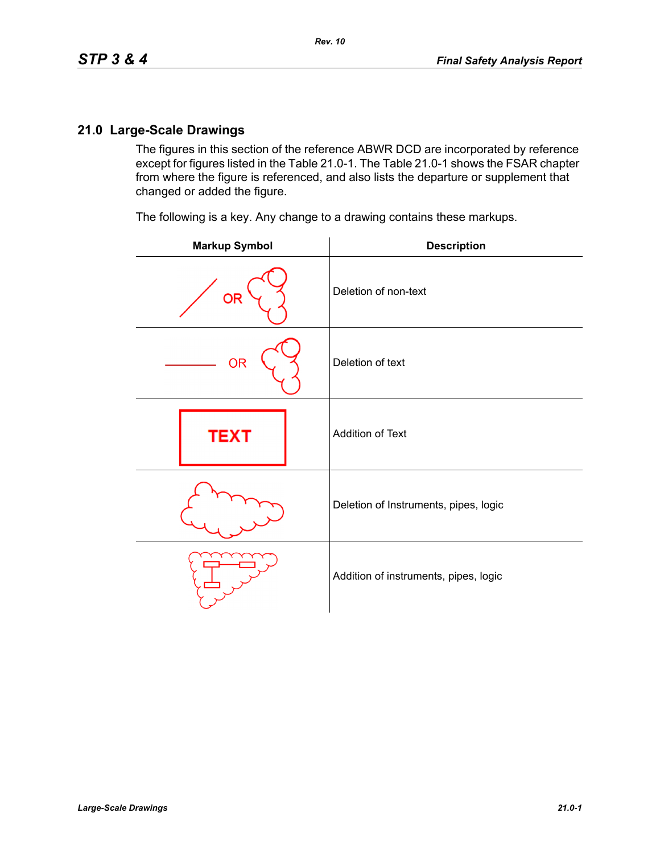The figures in this section of the reference ABWR DCD are incorporated by reference except for figures listed in the Table 21.0-1. The Table 21.0-1 shows the FSAR chapter from where the figure is referenced, and also lists the departure or supplement that changed or added the figure.

The following is a key. Any change to a drawing contains these markups.

| <b>Markup Symbol</b> | <b>Description</b>                    |
|----------------------|---------------------------------------|
| <b>OR</b>            | Deletion of non-text                  |
| <b>OR</b>            | Deletion of text                      |
| <b>TEXT</b>          | Addition of Text                      |
|                      | Deletion of Instruments, pipes, logic |
|                      | Addition of instruments, pipes, logic |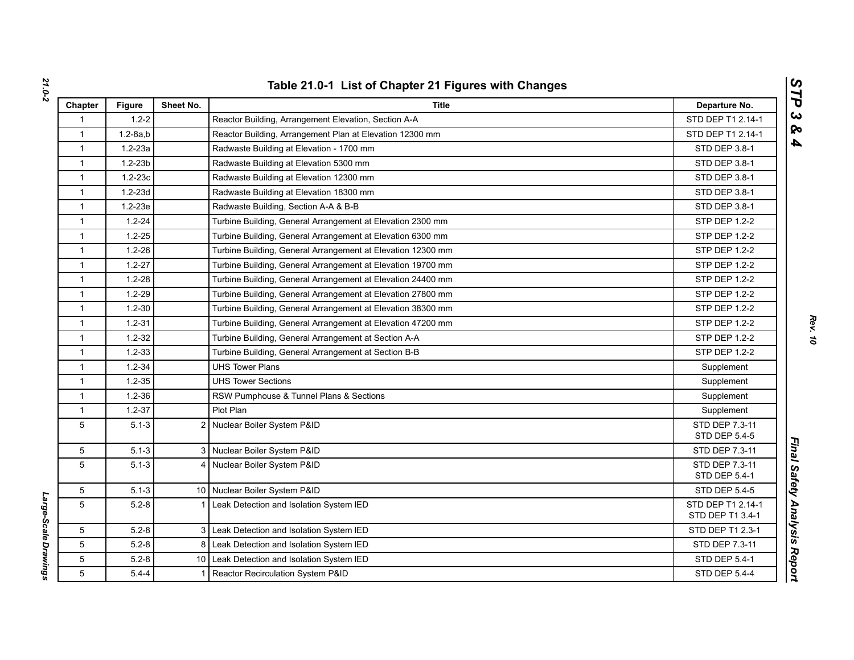| Chapter      | <b>Figure</b>  | Sheet No. | <b>Title</b>                                                | Departure No.                         |
|--------------|----------------|-----------|-------------------------------------------------------------|---------------------------------------|
| 1            | $1.2 - 2$      |           | Reactor Building, Arrangement Elevation, Section A-A        | STD DEP T1 2.14-1                     |
| $\mathbf{1}$ | $1.2 - 8a$ , b |           | Reactor Building, Arrangement Plan at Elevation 12300 mm    | STD DEP T1 2.14-1                     |
| $\mathbf{1}$ | $1.2 - 23a$    |           | Radwaste Building at Elevation - 1700 mm                    | <b>STD DEP 3.8-1</b>                  |
| $\mathbf{1}$ | $1.2 - 23b$    |           | Radwaste Building at Elevation 5300 mm                      | STD DEP 3.8-1                         |
| $\mathbf{1}$ | $1.2 - 23c$    |           | Radwaste Building at Elevation 12300 mm                     | STD DEP 3.8-1                         |
| $\mathbf{1}$ | $1.2 - 23d$    |           | Radwaste Building at Elevation 18300 mm                     | STD DEP 3.8-1                         |
| $\mathbf{1}$ | $1.2 - 23e$    |           | Radwaste Building, Section A-A & B-B                        | STD DEP 3.8-1                         |
| $\mathbf{1}$ | $1.2 - 24$     |           | Turbine Building, General Arrangement at Elevation 2300 mm  | STP DEP 1.2-2                         |
| $\mathbf{1}$ | $1.2 - 25$     |           | Turbine Building, General Arrangement at Elevation 6300 mm  | STP DEP 1.2-2                         |
| $\mathbf{1}$ | $1.2 - 26$     |           | Turbine Building, General Arrangement at Elevation 12300 mm | <b>STP DEP 1.2-2</b>                  |
| $\mathbf{1}$ | $1.2 - 27$     |           | Turbine Building, General Arrangement at Elevation 19700 mm | <b>STP DEP 1.2-2</b>                  |
| $\mathbf{1}$ | $1.2 - 28$     |           | Turbine Building, General Arrangement at Elevation 24400 mm | STP DEP 1.2-2                         |
| $\mathbf{1}$ | $1.2 - 29$     |           | Turbine Building, General Arrangement at Elevation 27800 mm | <b>STP DEP 1.2-2</b>                  |
| $\mathbf{1}$ | $1.2 - 30$     |           | Turbine Building, General Arrangement at Elevation 38300 mm | STP DEP 1.2-2                         |
| $\mathbf{1}$ | $1.2 - 31$     |           | Turbine Building, General Arrangement at Elevation 47200 mm | STP DEP 1.2-2                         |
| $\mathbf{1}$ | $1.2 - 32$     |           | Turbine Building, General Arrangement at Section A-A        | STP DEP 1.2-2                         |
| $\mathbf{1}$ | $1.2 - 33$     |           | Turbine Building, General Arrangement at Section B-B        | <b>STP DEP 1.2-2</b>                  |
| $\mathbf{1}$ | $1.2 - 34$     |           | <b>UHS Tower Plans</b>                                      | Supplement                            |
| $\mathbf{1}$ | $1.2 - 35$     |           | <b>UHS Tower Sections</b>                                   | Supplement                            |
| $\mathbf{1}$ | $1.2 - 36$     |           | RSW Pumphouse & Tunnel Plans & Sections                     | Supplement                            |
| $\mathbf{1}$ | $1.2 - 37$     |           | Plot Plan                                                   | Supplement                            |
| 5            | $5.1 - 3$      |           | 2 Nuclear Boiler System P&ID                                | STD DEP 7.3-11<br>STD DEP 5.4-5       |
| 5            | $5.1 - 3$      |           | 3 Nuclear Boiler System P&ID                                | STD DEP 7.3-11                        |
| 5            | $5.1 - 3$      |           | 4 Nuclear Boiler System P&ID                                | STD DEP 7.3-11<br>STD DEP 5.4-1       |
| 5            | $5.1 - 3$      |           | 10 Nuclear Boiler System P&ID                               | STD DEP 5.4-5                         |
| 5            | $5.2 - 8$      | 11        | Leak Detection and Isolation System IED                     | STD DEP T1 2.14-1<br>STD DEP T1 3.4-1 |
| 5            | $5.2 - 8$      |           | 3 Leak Detection and Isolation System IED                   | STD DEP T1 2.3-1                      |
| 5            | $5.2 - 8$      |           | 8 Leak Detection and Isolation System IED                   | STD DEP 7.3-11                        |
| 5            | $5.2 - 8$      |           | 10 Leak Detection and Isolation System IED                  | <b>STD DEP 5.4-1</b>                  |
| 5            | $5.4 - 4$      | $1 \mid$  | Reactor Recirculation System P&ID                           | <b>STD DEP 5.4-4</b>                  |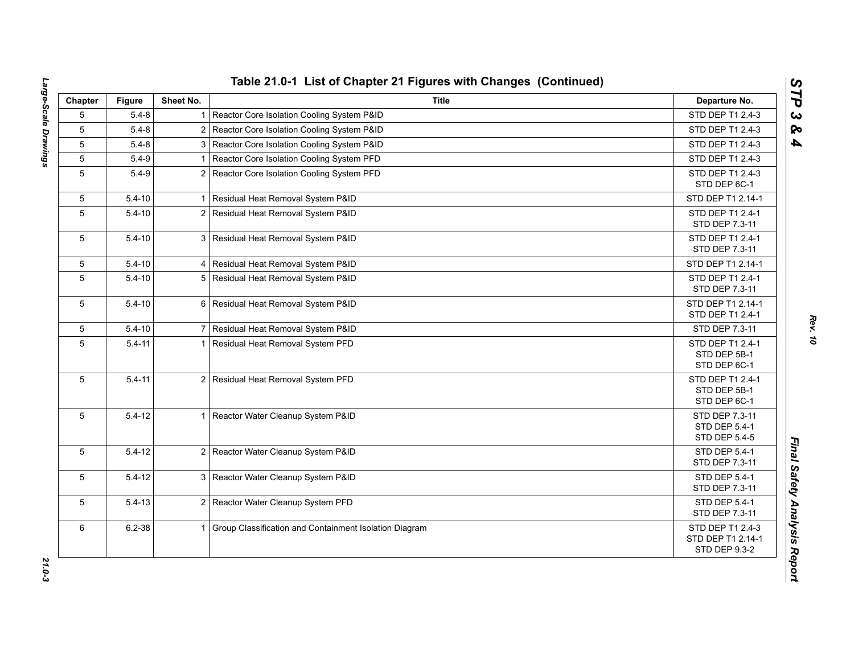| Chapter         | <b>Figure</b> | Sheet No.      | <b>Title</b>                                             | Departure No.                                                 |
|-----------------|---------------|----------------|----------------------------------------------------------|---------------------------------------------------------------|
| 5               | $5.4 - 8$     | 1 <sup>1</sup> | Reactor Core Isolation Cooling System P&ID               | STD DEP T1 2.4-3                                              |
| 5               | $5.4 - 8$     |                | 2 Reactor Core Isolation Cooling System P&ID             | STD DEP T1 2.4-3                                              |
| 5               | $5.4 - 8$     |                | 3 Reactor Core Isolation Cooling System P&ID             | STD DEP T1 2.4-3                                              |
| $5\phantom{.0}$ | $5.4 - 9$     |                | Reactor Core Isolation Cooling System PFD                | STD DEP T1 2.4-3                                              |
| 5               | $5.4 - 9$     |                | 2 Reactor Core Isolation Cooling System PFD              | STD DEP T1 2.4-3<br>STD DEP 6C-1                              |
| 5               | $5.4 - 10$    |                | Residual Heat Removal System P&ID                        | STD DEP T1 2.14-1                                             |
| 5               | $5.4 - 10$    | 2 <sub>1</sub> | Residual Heat Removal System P&ID                        | STD DEP T1 2.4-1<br>STD DEP 7.3-11                            |
| 5               | $5.4 - 10$    |                | 3 Residual Heat Removal System P&ID                      | STD DEP T1 2.4-1<br>STD DEP 7.3-11                            |
| 5               | $5.4 - 10$    |                | 4 Residual Heat Removal System P&ID                      | STD DEP T1 2.14-1                                             |
| 5               | $5.4 - 10$    |                | 5 Residual Heat Removal System P&ID                      | STD DEP T1 2.4-1<br>STD DEP 7.3-11                            |
| 5               | $5.4 - 10$    |                | 6 Residual Heat Removal System P&ID                      | STD DEP T1 2.14-1<br>STD DEP T1 2.4-1                         |
| 5               | $5.4 - 10$    |                | 7 Residual Heat Removal System P&ID                      | STD DEP 7.3-11                                                |
| 5               | $5.4 - 11$    | 11             | Residual Heat Removal System PFD                         | STD DEP T1 2.4-1<br>STD DEP 5B-1<br>STD DEP 6C-1              |
| 5               | $5.4 - 11$    |                | 2 Residual Heat Removal System PFD                       | STD DEP T1 2.4-1<br>STD DEP 5B-1<br>STD DEP 6C-1              |
| 5               | $5.4 - 12$    | 11             | Reactor Water Cleanup System P&ID                        | STD DEP 7.3-11<br>STD DEP 5.4-1<br>STD DEP 5.4-5              |
| 5               | $5.4 - 12$    |                | 2 Reactor Water Cleanup System P&ID                      | <b>STD DEP 5.4-1</b><br>STD DEP 7.3-11                        |
| 5               | $5.4 - 12$    |                | 3 Reactor Water Cleanup System P&ID                      | STD DEP 5.4-1<br>STD DEP 7.3-11                               |
| 5               | $5.4 - 13$    |                | 2 Reactor Water Cleanup System PFD                       | STD DEP 5.4-1<br>STD DEP 7.3-11                               |
| 6               | $6.2 - 38$    |                | 1 Group Classification and Containment Isolation Diagram | STD DEP T1 2.4-3<br>STD DEP T1 2.14-1<br><b>STD DEP 9.3-2</b> |

*Rev. 10*

*STP 3 & 4*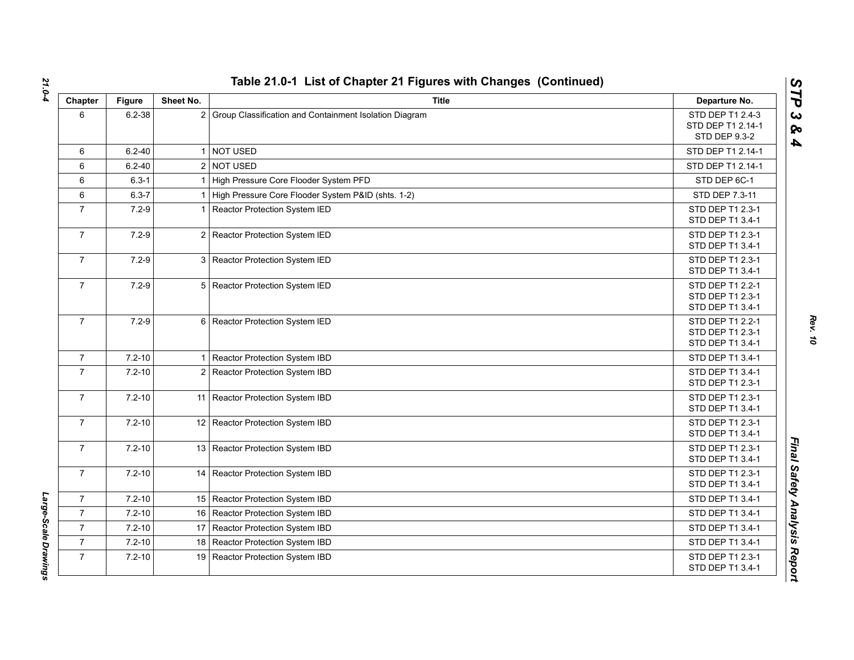| Chapter        | <b>Figure</b> | Sheet No.      | <b>Title</b>                                           | Departure No.                                                 |
|----------------|---------------|----------------|--------------------------------------------------------|---------------------------------------------------------------|
| 6              | $6.2 - 38$    | $\overline{2}$ | Group Classification and Containment Isolation Diagram | STD DEP T1 2.4-3<br>STD DEP T1 2.14-1<br><b>STD DEP 9.3-2</b> |
| 6              | $6.2 - 40$    | $\mathbf 1$    | <b>NOT USED</b>                                        | STD DEP T1 2.14-1                                             |
| 6              | $6.2 - 40$    |                | 2 NOT USED                                             | STD DEP T1 2.14-1                                             |
| 6              | $6.3 - 1$     |                | High Pressure Core Flooder System PFD                  | STD DEP 6C-1                                                  |
| 6              | $6.3 - 7$     |                | High Pressure Core Flooder System P&ID (shts. 1-2)     | STD DEP 7.3-11                                                |
| $\overline{7}$ | $7.2 - 9$     | 1              | Reactor Protection System IED                          | STD DEP T1 2.3-1<br>STD DEP T1 3.4-1                          |
| $\overline{7}$ | $7.2 - 9$     |                | 2 Reactor Protection System IED                        | STD DEP T1 2.3-1<br>STD DEP T1 3.4-1                          |
| $\overline{7}$ | $7.2 - 9$     | 3              | Reactor Protection System IED                          | STD DEP T1 2.3-1<br>STD DEP T1 3.4-1                          |
| $\mathbf{7}$   | $7.2 - 9$     |                | 5 Reactor Protection System IED                        | STD DEP T1 2.2-1<br>STD DEP T1 2.3-1<br>STD DEP T1 3.4-1      |
| $\overline{7}$ | $7.2 - 9$     |                | 6 Reactor Protection System IED                        | STD DEP T1 2.2-1<br>STD DEP T1 2.3-1<br>STD DEP T1 3.4-1      |
| $\overline{7}$ | $7.2 - 10$    | 1 <sup>1</sup> | Reactor Protection System IBD                          | STD DEP T1 3.4-1                                              |
| $\overline{7}$ | $7.2 - 10$    |                | 2 Reactor Protection System IBD                        | STD DEP T1 3.4-1<br>STD DEP T1 2.3-1                          |
| $\overline{7}$ | $7.2 - 10$    |                | 11 Reactor Protection System IBD                       | STD DEP T1 2.3-1<br>STD DEP T1 3.4-1                          |
| $\overline{7}$ | $7.2 - 10$    |                | 12 Reactor Protection System IBD                       | STD DEP T1 2.3-1<br>STD DEP T1 3.4-1                          |
| $\mathbf{7}$   | $7.2 - 10$    |                | 13 Reactor Protection System IBD                       | STD DEP T1 2.3-1<br>STD DEP T1 3.4-1                          |
| $\overline{7}$ | $7.2 - 10$    |                | 14 Reactor Protection System IBD                       | STD DEP T1 2.3-1<br>STD DEP T1 3.4-1                          |
| $\mathbf{7}$   | $7.2 - 10$    |                | 15 Reactor Protection System IBD                       | STD DEP T1 3.4-1                                              |
| $\overline{7}$ | $7.2 - 10$    |                | 16 Reactor Protection System IBD                       | STD DEP T1 3.4-1                                              |
| $\overline{7}$ | $7.2 - 10$    |                | 17 Reactor Protection System IBD                       | STD DEP T1 3.4-1                                              |
| $\overline{7}$ | $7.2 - 10$    |                | 18 Reactor Protection System IBD                       | STD DEP T1 3.4-1                                              |
| $\overline{7}$ | $7.2 - 10$    | 19             | Reactor Protection System IBD                          | STD DEP T1 2.3-1<br>STD DEP T1 3.4-1                          |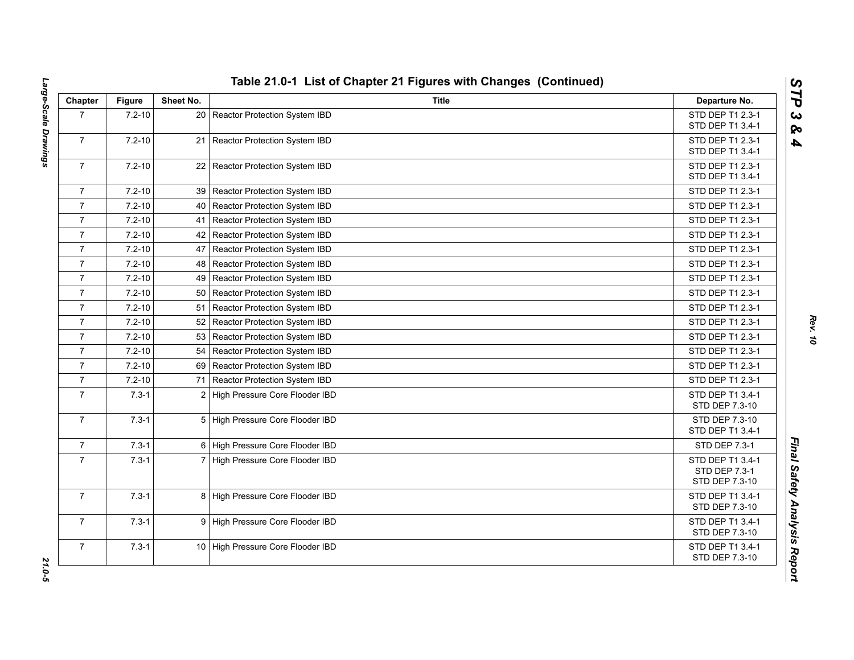| Chapter        | <b>Figure</b> | Sheet No. | <b>Title</b>                       | Departure No.                                       |
|----------------|---------------|-----------|------------------------------------|-----------------------------------------------------|
| $\overline{7}$ | $7.2 - 10$    |           | 20 Reactor Protection System IBD   | STD DEP T1 2.3-1<br>STD DEP T1 3.4-1                |
| $\overline{7}$ | $7.2 - 10$    |           | 21 Reactor Protection System IBD   | STD DEP T1 2.3-1<br>STD DEP T1 3.4-1                |
| $\overline{7}$ | $7.2 - 10$    |           | 22 Reactor Protection System IBD   | STD DEP T1 2.3-1<br>STD DEP T1 3.4-1                |
| $\overline{7}$ | $7.2 - 10$    |           | 39   Reactor Protection System IBD | STD DEP T1 2.3-1                                    |
| $\overline{7}$ | $7.2 - 10$    |           | 40   Reactor Protection System IBD | STD DEP T1 2.3-1                                    |
| $\overline{7}$ | $7.2 - 10$    |           | 41 Reactor Protection System IBD   | STD DEP T1 2.3-1                                    |
| $\overline{7}$ | $7.2 - 10$    |           | 42   Reactor Protection System IBD | STD DEP T1 2.3-1                                    |
| $\overline{7}$ | $7.2 - 10$    |           | 47   Reactor Protection System IBD | STD DEP T1 2.3-1                                    |
| $\overline{7}$ | $7.2 - 10$    |           | 48   Reactor Protection System IBD | STD DEP T1 2.3-1                                    |
| $\overline{7}$ | $7.2 - 10$    |           | 49   Reactor Protection System IBD | STD DEP T1 2.3-1                                    |
| $\overline{7}$ | $7.2 - 10$    |           | 50 Reactor Protection System IBD   | STD DEP T1 2.3-1                                    |
| $\overline{7}$ | $7.2 - 10$    |           | 51 Reactor Protection System IBD   | STD DEP T1 2.3-1                                    |
| $\overline{7}$ | $7.2 - 10$    |           | 52 Reactor Protection System IBD   | STD DEP T1 2.3-1                                    |
| $\overline{7}$ | $7.2 - 10$    |           | 53 Reactor Protection System IBD   | STD DEP T1 2.3-1                                    |
| $\overline{7}$ | $7.2 - 10$    |           | 54 Reactor Protection System IBD   | STD DEP T1 2.3-1                                    |
| $\overline{7}$ | $7.2 - 10$    |           | 69 Reactor Protection System IBD   | STD DEP T1 2.3-1                                    |
| $\overline{7}$ | $7.2 - 10$    |           | 71 Reactor Protection System IBD   | STD DEP T1 2.3-1                                    |
| $\overline{7}$ | $7.3 - 1$     |           | 2 High Pressure Core Flooder IBD   | STD DEP T1 3.4-1<br>STD DEP 7.3-10                  |
| $\overline{7}$ | $7.3 - 1$     |           | 5 High Pressure Core Flooder IBD   | STD DEP 7.3-10<br>STD DEP T1 3.4-1                  |
| $\overline{7}$ | $7.3 - 1$     |           | 6 High Pressure Core Flooder IBD   | <b>STD DEP 7.3-1</b>                                |
| $\overline{7}$ | $7.3 - 1$     |           | 7 High Pressure Core Flooder IBD   | STD DEP T1 3.4-1<br>STD DEP 7.3-1<br>STD DEP 7.3-10 |
| $\overline{7}$ | $7.3 - 1$     |           | 8 High Pressure Core Flooder IBD   | STD DEP T1 3.4-1<br>STD DEP 7.3-10                  |
| $\overline{7}$ | $7.3 - 1$     |           | 9 High Pressure Core Flooder IBD   | STD DEP T1 3.4-1<br>STD DEP 7.3-10                  |
| $\overline{7}$ | $7.3 - 1$     |           | 10 High Pressure Core Flooder IBD  | STD DEP T1 3.4-1<br>STD DEP 7.3-10                  |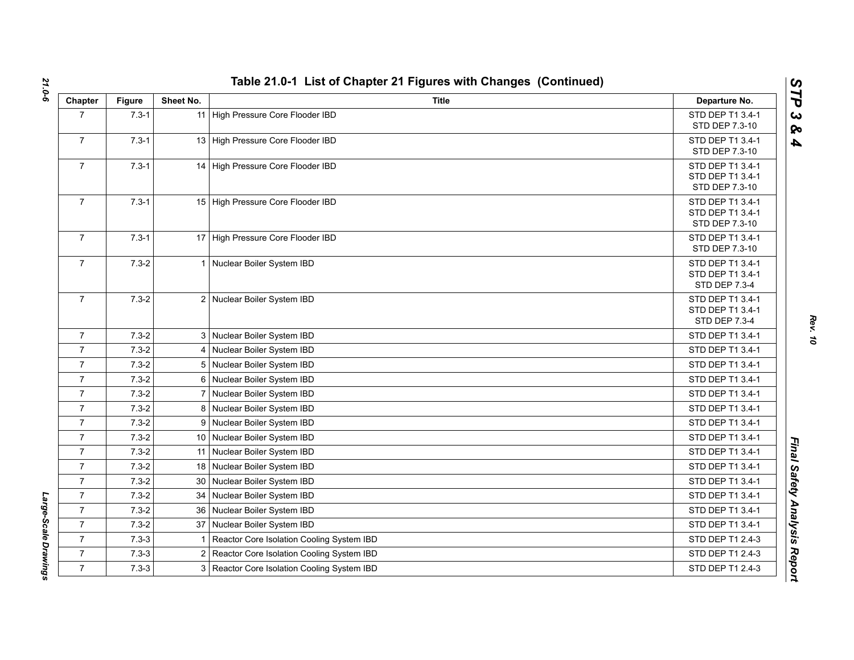| Chapter        | <b>Figure</b> | Sheet No.       | <b>Title</b>                                | Departure No.                                                |
|----------------|---------------|-----------------|---------------------------------------------|--------------------------------------------------------------|
| $\overline{7}$ | $7.3 - 1$     |                 | 11 High Pressure Core Flooder IBD           | STD DEP T1 3.4-1<br>STD DEP 7.3-10                           |
| $\overline{7}$ | $7.3 - 1$     |                 | 13 High Pressure Core Flooder IBD           | STD DEP T1 3.4-1<br>STD DEP 7.3-10                           |
| $\overline{7}$ | $7.3 - 1$     |                 | 14 High Pressure Core Flooder IBD           | STD DEP T1 3.4-1<br>STD DEP T1 3.4-1<br>STD DEP 7.3-10       |
| $\overline{7}$ | $7.3 - 1$     |                 | 15 High Pressure Core Flooder IBD           | STD DEP T1 3.4-1<br>STD DEP T1 3.4-1<br>STD DEP 7.3-10       |
| $\overline{7}$ | $7.3 - 1$     |                 | 17 High Pressure Core Flooder IBD           | STD DEP T1 3.4-1<br>STD DEP 7.3-10                           |
| $\overline{7}$ | $7.3 - 2$     |                 | 1 Nuclear Boiler System IBD                 | STD DEP T1 3.4-1<br>STD DEP T1 3.4-1<br><b>STD DEP 7.3-4</b> |
| $\overline{7}$ | $7.3 - 2$     |                 | 2 Nuclear Boiler System IBD                 | STD DEP T1 3.4-1<br>STD DEP T1 3.4-1<br>STD DEP 7.3-4        |
| $\overline{7}$ | $7.3 - 2$     |                 | 3 Nuclear Boiler System IBD                 | STD DEP T1 3.4-1                                             |
| $\overline{7}$ | $7.3 - 2$     |                 | 4 Nuclear Boiler System IBD                 | STD DEP T1 3.4-1                                             |
| $\overline{7}$ | $7.3 - 2$     |                 | 5 Nuclear Boiler System IBD                 | STD DEP T1 3.4-1                                             |
| $\overline{7}$ | $7.3 - 2$     |                 | 6 Nuclear Boiler System IBD                 | STD DEP T1 3.4-1                                             |
| $\overline{7}$ | $7.3 - 2$     |                 | 7 Nuclear Boiler System IBD                 | STD DEP T1 3.4-1                                             |
| $\overline{7}$ | $7.3 - 2$     |                 | 8 Nuclear Boiler System IBD                 | STD DEP T1 3.4-1                                             |
| $\overline{7}$ | $7.3 - 2$     | 9               | Nuclear Boiler System IBD                   | STD DEP T1 3.4-1                                             |
| $\overline{7}$ | $7.3 - 2$     |                 | 10 Nuclear Boiler System IBD                | STD DEP T1 3.4-1                                             |
| $\overline{7}$ | $7.3 - 2$     |                 | 11 Nuclear Boiler System IBD                | STD DEP T1 3.4-1                                             |
| $\overline{7}$ | $7.3 - 2$     |                 | 18 Nuclear Boiler System IBD                | STD DEP T1 3.4-1                                             |
| $\overline{7}$ | $7.3 - 2$     | 30 <sup>°</sup> | Nuclear Boiler System IBD                   | STD DEP T1 3.4-1                                             |
| $\overline{7}$ | $7.3 - 2$     | 34              | Nuclear Boiler System IBD                   | STD DEP T1 3.4-1                                             |
| $\overline{7}$ | $7.3 - 2$     | 36              | Nuclear Boiler System IBD                   | STD DEP T1 3.4-1                                             |
| $\overline{7}$ | $7.3 - 2$     |                 | 37 Nuclear Boiler System IBD                | STD DEP T1 3.4-1                                             |
| $\overline{7}$ | $7.3 - 3$     | 1               | Reactor Core Isolation Cooling System IBD   | STD DEP T1 2.4-3                                             |
| $\overline{7}$ | $7.3 - 3$     | $\overline{2}$  | Reactor Core Isolation Cooling System IBD   | STD DEP T1 2.4-3                                             |
| $\overline{7}$ | $7.3 - 3$     |                 | 3 Reactor Core Isolation Cooling System IBD | STD DEP T1 2.4-3                                             |

*Large-Scale Drawings* 

Large-Scale Drawings

*STP 3 & 4*

*Rev. 10*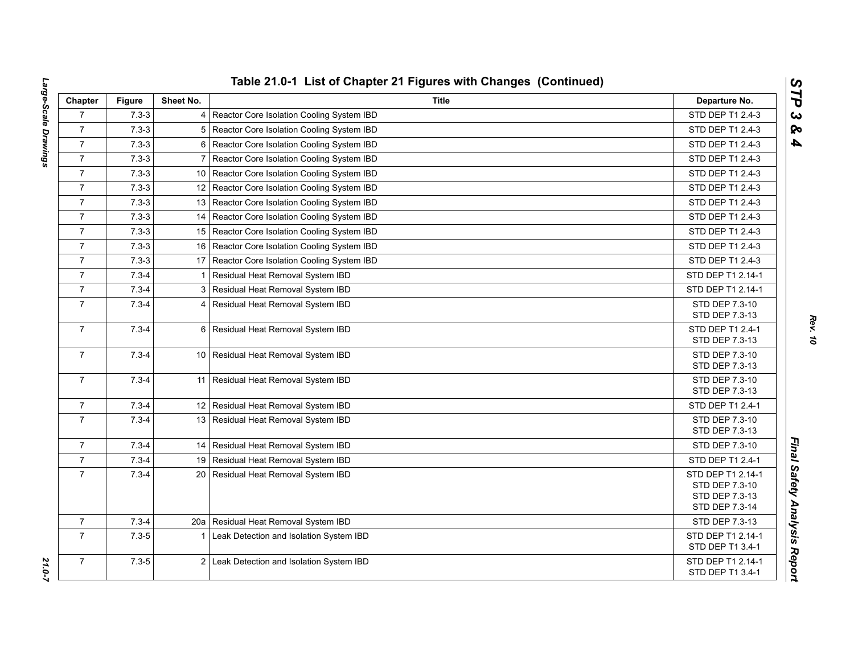| Chapter        | <b>Figure</b> | Sheet No.       | <b>Title</b>                                   | Departure No.                       |
|----------------|---------------|-----------------|------------------------------------------------|-------------------------------------|
| $\overline{7}$ | $7.3 - 3$     |                 | 4 Reactor Core Isolation Cooling System IBD    | STD DEP T1 2.4-3                    |
| $\overline{7}$ | $7.3 - 3$     | 5               | Reactor Core Isolation Cooling System IBD      | STD DEP T1 2.4-3                    |
| $\overline{7}$ | $7.3 - 3$     | 6               | Reactor Core Isolation Cooling System IBD      | STD DEP T1 2.4-3                    |
| $\overline{7}$ | $7.3 - 3$     | $\overline{7}$  | Reactor Core Isolation Cooling System IBD      | STD DEP T1 2.4-3                    |
| $\overline{7}$ | $7.3 - 3$     |                 | 10   Reactor Core Isolation Cooling System IBD | STD DEP T1 2.4-3                    |
| $\overline{7}$ | $7.3 - 3$     |                 | 12 Reactor Core Isolation Cooling System IBD   | STD DEP T1 2.4-3                    |
| $\overline{7}$ | $7.3 - 3$     |                 | 13 Reactor Core Isolation Cooling System IBD   | STD DEP T1 2.4-3                    |
| $\overline{7}$ | $7.3 - 3$     | 14              | Reactor Core Isolation Cooling System IBD      | STD DEP T1 2.4-3                    |
| $\overline{7}$ | $7.3 - 3$     | 15 <sup>1</sup> | Reactor Core Isolation Cooling System IBD      | STD DEP T1 2.4-3                    |
| $\overline{7}$ | $7.3 - 3$     | 16              | Reactor Core Isolation Cooling System IBD      | STD DEP T1 2.4-3                    |
| $\overline{7}$ | $7.3 - 3$     |                 | 17 Reactor Core Isolation Cooling System IBD   | STD DEP T1 2.4-3                    |
| $\overline{7}$ | $7.3 - 4$     | $\mathbf 1$     | Residual Heat Removal System IBD               | STD DEP T1 2.14-1                   |
| $\overline{7}$ | $7.3 - 4$     |                 | 3 Residual Heat Removal System IBD             | STD DEP T1 2.14-1                   |
| $\overline{7}$ | $7.3 - 4$     |                 | 4 Residual Heat Removal System IBD             | STD DEP 7.3-10                      |
|                |               |                 |                                                | STD DEP 7.3-13                      |
| $\overline{7}$ | $7.3 - 4$     |                 | 6 Residual Heat Removal System IBD             | STD DEP T1 2.4-1<br>STD DEP 7.3-13  |
| $\overline{7}$ | $7.3 - 4$     |                 | 10 Residual Heat Removal System IBD            | STD DEP 7.3-10                      |
|                |               |                 |                                                | STD DEP 7.3-13                      |
| $\overline{7}$ | $7.3 - 4$     | 11              | Residual Heat Removal System IBD               | STD DEP 7.3-10                      |
|                |               |                 |                                                | STD DEP 7.3-13                      |
| $\overline{7}$ | $7.3 - 4$     |                 | 12 Residual Heat Removal System IBD            | STD DEP T1 2.4-1                    |
| $\overline{7}$ | $7.3 - 4$     |                 | 13 Residual Heat Removal System IBD            | STD DEP 7.3-10                      |
|                |               |                 |                                                | STD DEP 7.3-13                      |
| $\overline{7}$ | $7.3 - 4$     |                 | 14   Residual Heat Removal System IBD          | STD DEP 7.3-10                      |
| $\overline{7}$ | $7.3 - 4$     |                 | 19 Residual Heat Removal System IBD            | STD DEP T1 2.4-1                    |
| $\overline{7}$ | $7.3 - 4$     |                 | 20 Residual Heat Removal System IBD            | STD DEP T1 2.14-1<br>STD DEP 7.3-10 |
|                |               |                 |                                                | STD DEP 7.3-13                      |
|                |               |                 |                                                | STD DEP 7.3-14                      |
| $\overline{7}$ | $7.3 - 4$     | 20a             | Residual Heat Removal System IBD               | STD DEP 7.3-13                      |
| $\overline{7}$ | $7.3 - 5$     | 1               | Leak Detection and Isolation System IBD        | STD DEP T1 2.14-1                   |
|                |               |                 |                                                | STD DEP T1 3.4-1                    |
| $\overline{7}$ | $7.3 - 5$     |                 | 2 Leak Detection and Isolation System IBD      | STD DEP T1 2.14-1                   |
|                |               |                 |                                                | STD DEP T1 3.4-1                    |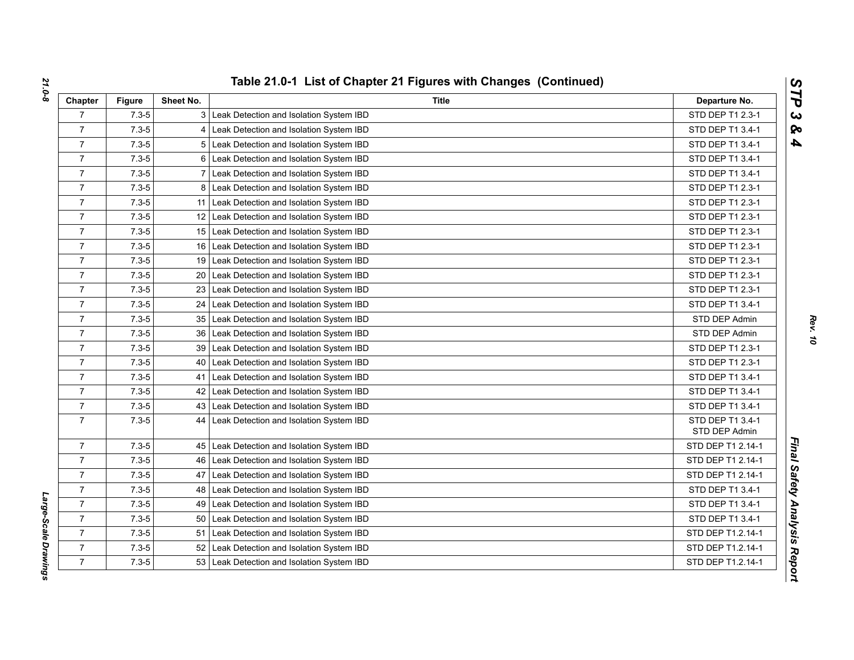| Chapter        | <b>Figure</b> | Sheet No.       | Title                                        | Departure No.                     |
|----------------|---------------|-----------------|----------------------------------------------|-----------------------------------|
| $\overline{7}$ | $7.3 - 5$     |                 | 3 Leak Detection and Isolation System IBD    | STD DEP T1 2.3-1                  |
| $\overline{7}$ | $7.3 - 5$     |                 | 4 Leak Detection and Isolation System IBD    | STD DEP T1 3.4-1                  |
| $\overline{7}$ | $7.3 - 5$     |                 | 5 Leak Detection and Isolation System IBD    | STD DEP T1 3.4-1                  |
| $\overline{7}$ | $7.3 - 5$     |                 | 6 Leak Detection and Isolation System IBD    | STD DEP T1 3.4-1                  |
| $\overline{7}$ | $7.3 - 5$     |                 | 7 Leak Detection and Isolation System IBD    | STD DEP T1 3.4-1                  |
| $\overline{7}$ | $7.3 - 5$     |                 | 8 Leak Detection and Isolation System IBD    | STD DEP T1 2.3-1                  |
| $\overline{7}$ | $7.3 - 5$     |                 | 11 Leak Detection and Isolation System IBD   | STD DEP T1 2.3-1                  |
| $\overline{7}$ | $7.3 - 5$     |                 | 12 Leak Detection and Isolation System IBD   | STD DEP T1 2.3-1                  |
| $\overline{7}$ | $7.3 - 5$     |                 | 15 Leak Detection and Isolation System IBD   | STD DEP T1 2.3-1                  |
| $\overline{7}$ | $7.3 - 5$     |                 | 16 Leak Detection and Isolation System IBD   | STD DEP T1 2.3-1                  |
| $\overline{7}$ | $7.3 - 5$     |                 | 19 Leak Detection and Isolation System IBD   | STD DEP T1 2.3-1                  |
| $\overline{7}$ | $7.3 - 5$     |                 | 20 Leak Detection and Isolation System IBD   | STD DEP T1 2.3-1                  |
| $\overline{7}$ | $7.3 - 5$     |                 | 23 Leak Detection and Isolation System IBD   | STD DEP T1 2.3-1                  |
| $\overline{7}$ | $7.3 - 5$     |                 | 24 Leak Detection and Isolation System IBD   | STD DEP T1 3.4-1                  |
| $\overline{7}$ | $7.3 - 5$     |                 | 35 Leak Detection and Isolation System IBD   | STD DEP Admin                     |
| $\overline{7}$ | $7.3 - 5$     |                 | 36 Leak Detection and Isolation System IBD   | STD DEP Admin                     |
| $\overline{7}$ | $7.3 - 5$     |                 | 39 Leak Detection and Isolation System IBD   | STD DEP T1 2.3-1                  |
| $\overline{7}$ | $7.3 - 5$     |                 | 40   Leak Detection and Isolation System IBD | STD DEP T1 2.3-1                  |
| $\overline{7}$ | $7.3 - 5$     | 41              | Leak Detection and Isolation System IBD      | STD DEP T1 3.4-1                  |
| $\overline{7}$ | $7.3 - 5$     |                 | 42 Leak Detection and Isolation System IBD   | STD DEP T1 3.4-1                  |
| $\overline{7}$ | $7.3 - 5$     |                 | 43 Leak Detection and Isolation System IBD   | STD DEP T1 3.4-1                  |
| $\overline{7}$ | $7.3 - 5$     |                 | 44 Leak Detection and Isolation System IBD   | STD DEP T1 3.4-1<br>STD DEP Admin |
| $\overline{7}$ | $7.3 - 5$     |                 | 45 Leak Detection and Isolation System IBD   | STD DEP T1 2.14-1                 |
| $\overline{7}$ | $7.3 - 5$     |                 | 46 Leak Detection and Isolation System IBD   | STD DEP T1 2.14-1                 |
| $\overline{7}$ | $7.3 - 5$     |                 | 47 Leak Detection and Isolation System IBD   | STD DEP T1 2.14-1                 |
| $\overline{7}$ | $7.3 - 5$     |                 | 48 Leak Detection and Isolation System IBD   | STD DEP T1 3.4-1                  |
| $\overline{7}$ | $7.3 - 5$     |                 | 49 Leak Detection and Isolation System IBD   | STD DEP T1 3.4-1                  |
| $\overline{7}$ | $7.3 - 5$     | 50 <sub>1</sub> | Leak Detection and Isolation System IBD      | STD DEP T1 3.4-1                  |
| $\overline{7}$ | $7.3 - 5$     | 51              | Leak Detection and Isolation System IBD      | STD DEP T1.2.14-1                 |
| $\overline{7}$ | $7.3 - 5$     |                 | 52 Leak Detection and Isolation System IBD   | STD DEP T1.2.14-1                 |
| $\overline{7}$ | $7.3 - 5$     |                 | 53 Leak Detection and Isolation System IBD   | STD DEP T1.2.14-1                 |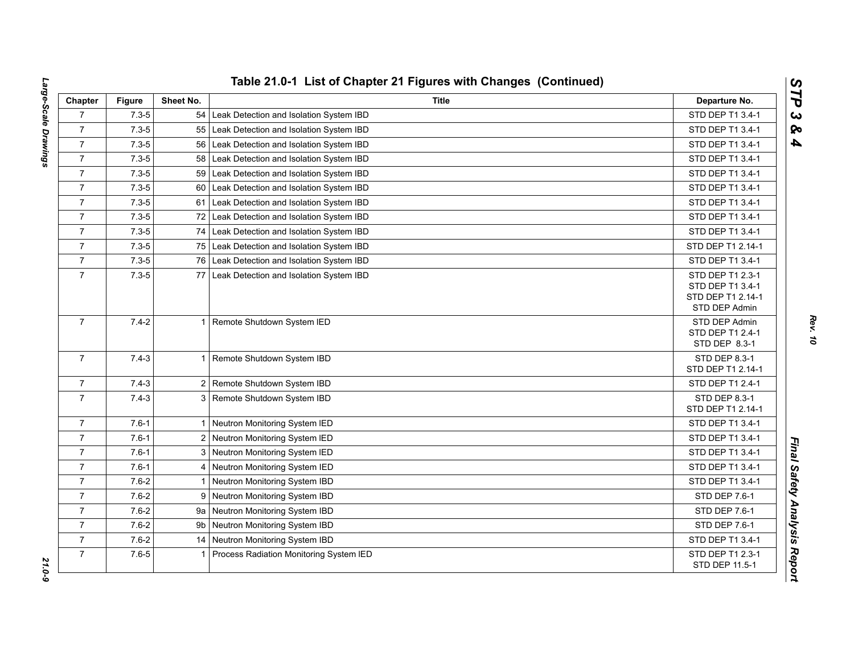| Chapter        | <b>Figure</b> | Sheet No.    | Title                                       | Departure No.                                                              |
|----------------|---------------|--------------|---------------------------------------------|----------------------------------------------------------------------------|
| $\overline{7}$ | $7.3 - 5$     |              | 54 Leak Detection and Isolation System IBD  | STD DEP T1 3.4-1                                                           |
| $\overline{7}$ | $7.3 - 5$     | 55           | Leak Detection and Isolation System IBD     | STD DEP T1 3.4-1                                                           |
| $\overline{7}$ | $7.3 - 5$     | 56           | Leak Detection and Isolation System IBD     | STD DEP T1 3.4-1                                                           |
| $\overline{7}$ | $7.3 - 5$     | 58           | Leak Detection and Isolation System IBD     | STD DEP T1 3.4-1                                                           |
| $\overline{7}$ | $7.3 - 5$     | 59           | Leak Detection and Isolation System IBD     | STD DEP T1 3.4-1                                                           |
| $\overline{7}$ | $7.3 - 5$     | 60           | Leak Detection and Isolation System IBD     | STD DEP T1 3.4-1                                                           |
| $\overline{7}$ | $7.3 - 5$     |              | 61 Leak Detection and Isolation System IBD  | STD DEP T1 3.4-1                                                           |
| $\overline{7}$ | $7.3 - 5$     |              | 72 Leak Detection and Isolation System IBD  | STD DEP T1 3.4-1                                                           |
| $\overline{7}$ | $7.3 - 5$     | 74           | Leak Detection and Isolation System IBD     | STD DEP T1 3.4-1                                                           |
| $\overline{7}$ | $7.3 - 5$     | 75           | Leak Detection and Isolation System IBD     | STD DEP T1 2.14-1                                                          |
| $\overline{7}$ | $7.3 - 5$     |              | 76 Leak Detection and Isolation System IBD  | STD DEP T1 3.4-1                                                           |
| $\overline{7}$ | $7.3 - 5$     | 77           | Leak Detection and Isolation System IBD     | STD DEP T1 2.3-1<br>STD DEP T1 3.4-1<br>STD DEP T1 2.14-1<br>STD DEP Admin |
| $\overline{7}$ | $7.4 - 2$     |              | 1 Remote Shutdown System IED                | STD DEP Admin<br>STD DEP T1 2.4-1<br>STD DEP 8.3-1                         |
| $\overline{7}$ | $7.4 - 3$     |              | 1 Remote Shutdown System IBD                | STD DEP 8.3-1<br>STD DEP T1 2.14-1                                         |
| $\overline{7}$ | $7.4 - 3$     |              | 2 Remote Shutdown System IBD                | STD DEP T1 2.4-1                                                           |
| $\overline{7}$ | $7.4 - 3$     |              | 3 Remote Shutdown System IBD                | STD DEP 8.3-1<br>STD DEP T1 2.14-1                                         |
| $\overline{7}$ | $7.6 - 1$     |              | 1 Neutron Monitoring System IED             | STD DEP T1 3.4-1                                                           |
| $\overline{7}$ | $7.6 - 1$     |              | 2 Neutron Monitoring System IED             | STD DEP T1 3.4-1                                                           |
| $\overline{7}$ | $7.6 - 1$     |              | 3 Neutron Monitoring System IED             | STD DEP T1 3.4-1                                                           |
| $\overline{7}$ | $7.6 - 1$     | 4            | Neutron Monitoring System IED               | STD DEP T1 3.4-1                                                           |
| $\overline{7}$ | $7.6 - 2$     | $\mathbf{1}$ | Neutron Monitoring System IBD               | STD DEP T1 3.4-1                                                           |
| $\overline{7}$ | $7.6 - 2$     | 9            | Neutron Monitoring System IBD               | STD DEP 7.6-1                                                              |
| $\overline{7}$ | $7.6 - 2$     |              | 9a Neutron Monitoring System IBD            | STD DEP 7.6-1                                                              |
| $\overline{7}$ | $7.6 - 2$     | 9b           | Neutron Monitoring System IBD               | STD DEP 7.6-1                                                              |
| $\overline{7}$ | $7.6 - 2$     |              | 14 Neutron Monitoring System IBD            | STD DEP T1 3.4-1                                                           |
| $\overline{7}$ | $7.6 - 5$     |              | 1   Process Radiation Monitoring System IED | STD DEP T1 2.3-1<br>STD DEP 11.5-1                                         |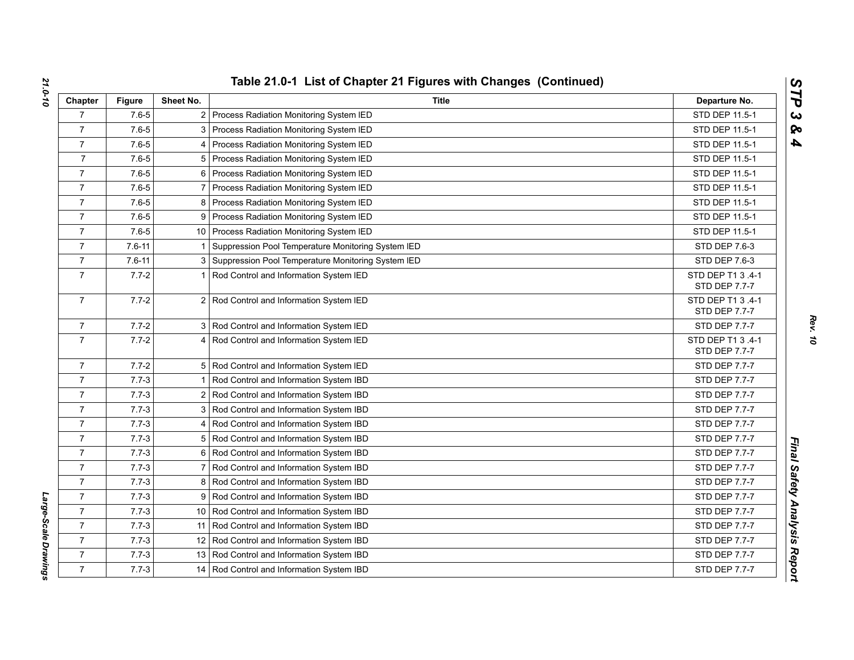| Chapter        | <b>Figure</b> | Sheet No.      | <b>Title</b>                                         | Departure No.                      |
|----------------|---------------|----------------|------------------------------------------------------|------------------------------------|
| $\overline{7}$ | $7.6 - 5$     |                | 2 Process Radiation Monitoring System IED            | STD DEP 11.5-1                     |
| $\overline{7}$ | $7.6 - 5$     |                | 3 Process Radiation Monitoring System IED            | STD DEP 11.5-1                     |
| $\overline{7}$ | $7.6 - 5$     |                | 4 Process Radiation Monitoring System IED            | STD DEP 11.5-1                     |
| $\overline{7}$ | $7.6 - 5$     |                | 5 Process Radiation Monitoring System IED            | STD DEP 11.5-1                     |
| $\overline{7}$ | $7.6 - 5$     |                | 6   Process Radiation Monitoring System IED          | STD DEP 11.5-1                     |
| $\overline{7}$ | $7.6 - 5$     |                | Process Radiation Monitoring System IED              | STD DEP 11.5-1                     |
| $\overline{7}$ | $7.6 - 5$     |                | 8 Process Radiation Monitoring System IED            | STD DEP 11.5-1                     |
| $\overline{7}$ | $7.6 - 5$     |                | 9 Process Radiation Monitoring System IED            | STD DEP 11.5-1                     |
| $\overline{7}$ | $7.6 - 5$     |                | 10 Process Radiation Monitoring System IED           | STD DEP 11.5-1                     |
| $\overline{7}$ | $7.6 - 11$    | -1             | Suppression Pool Temperature Monitoring System IED   | STD DEP 7.6-3                      |
| $\overline{7}$ | $7.6 - 11$    |                | 3 Suppression Pool Temperature Monitoring System IED | STD DEP 7.6-3                      |
| $\overline{7}$ | $7.7 - 2$     |                | Rod Control and Information System IED               | STD DEP T1 3 .4-1<br>STD DEP 7.7-7 |
| $\overline{7}$ | $7.7 - 2$     |                | 2 Rod Control and Information System IED             | STD DEP T1 3 .4-1<br>STD DEP 7.7-7 |
| 7              | $7.7 - 2$     |                | 3 Rod Control and Information System IED             | STD DEP 7.7-7                      |
| $\overline{7}$ | $7.7 - 2$     |                | 4 Rod Control and Information System IED             | STD DEP T1 3 .4-1<br>STD DEP 7.7-7 |
| $\overline{7}$ | $7.7 - 2$     |                | 5 Rod Control and Information System IED             | STD DEP 7.7-7                      |
| $\overline{7}$ | $7.7 - 3$     |                | 1 Rod Control and Information System IBD             | STD DEP 7.7-7                      |
| $\overline{7}$ | $7.7 - 3$     |                | 2 Rod Control and Information System IBD             | STD DEP 7.7-7                      |
| $\overline{7}$ | $7.7 - 3$     |                | 3 Rod Control and Information System IBD             | STD DEP 7.7-7                      |
| $\overline{7}$ | $7.7 - 3$     |                | 4 Rod Control and Information System IBD             | <b>STD DEP 7.7-7</b>               |
| $\overline{7}$ | $7.7 - 3$     |                | 5 Rod Control and Information System IBD             | STD DEP 7.7-7                      |
| $\overline{7}$ | $7.7 - 3$     |                | 6 Rod Control and Information System IBD             | STD DEP 7.7-7                      |
| $\overline{7}$ | $7.7 - 3$     | $\overline{7}$ | Rod Control and Information System IBD               | STD DEP 7.7-7                      |
| $\overline{7}$ | $7.7 - 3$     |                | 8 Rod Control and Information System IBD             | STD DEP 7.7-7                      |
| $\overline{7}$ | $7.7 - 3$     |                | 9 Rod Control and Information System IBD             | STD DEP 7.7-7                      |
| $\overline{7}$ | $7.7 - 3$     |                | 10 Rod Control and Information System IBD            | STD DEP 7.7-7                      |
| $\overline{7}$ | $7.7 - 3$     |                | 11 Rod Control and Information System IBD            | STD DEP 7.7-7                      |
| $\overline{7}$ | $7.7 - 3$     |                | 12 Rod Control and Information System IBD            | <b>STD DEP 7.7-7</b>               |
| $\overline{7}$ | $7.7 - 3$     |                | 13 Rod Control and Information System IBD            | STD DEP 7.7-7                      |
| $\overline{7}$ | $7.7 - 3$     |                | 14 Rod Control and Information System IBD            | <b>STD DEP 7.7-7</b>               |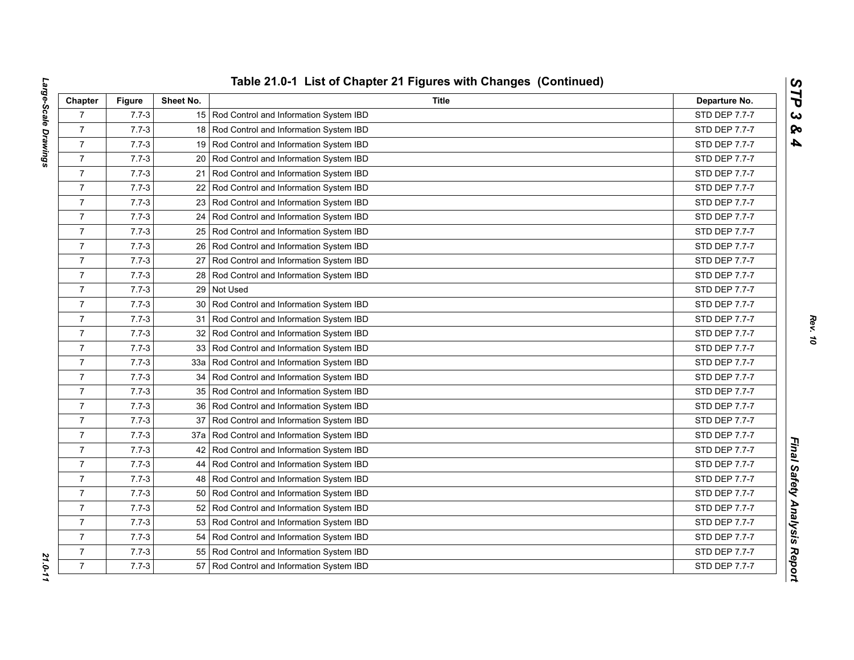| Chapter        | <b>Figure</b> | Sheet No.       | <b>Title</b>                                | Departure No.        |
|----------------|---------------|-----------------|---------------------------------------------|----------------------|
| $\overline{7}$ | $7.7 - 3$     |                 | 15 Rod Control and Information System IBD   | STD DEP 7.7-7        |
| $\overline{7}$ | $7.7 - 3$     |                 | 18 Rod Control and Information System IBD   | STD DEP 7.7-7        |
| $\overline{7}$ | $7.7 - 3$     | 19              | Rod Control and Information System IBD      | STD DEP 7.7-7        |
| $\overline{7}$ | $7.7 - 3$     | 20              | Rod Control and Information System IBD      | STD DEP 7.7-7        |
| $\overline{7}$ | $7.7 - 3$     | 21              | Rod Control and Information System IBD      | <b>STD DEP 7.7-7</b> |
| $\overline{7}$ | $7.7 - 3$     | 22              | Rod Control and Information System IBD      | STD DEP 7.7-7        |
| $\overline{7}$ | $7.7 - 3$     | 23 <sup>1</sup> | Rod Control and Information System IBD      | <b>STD DEP 7.7-7</b> |
| $\overline{7}$ | $7.7 - 3$     |                 | 24   Rod Control and Information System IBD | STD DEP 7.7-7        |
| $\overline{7}$ | $7.7 - 3$     |                 | 25   Rod Control and Information System IBD | STD DEP 7.7-7        |
| $\overline{7}$ | $7.7 - 3$     | 26              | Rod Control and Information System IBD      | STD DEP 7.7-7        |
| $\overline{7}$ | $7.7 - 3$     | 27 <sub>l</sub> | Rod Control and Information System IBD      | STD DEP 7.7-7        |
| $\overline{7}$ | $7.7 - 3$     |                 | 28 Rod Control and Information System IBD   | STD DEP 7.7-7        |
| $\overline{7}$ | $7.7 - 3$     | 29              | Not Used                                    | STD DEP 7.7-7        |
| $\overline{7}$ | $7.7 - 3$     |                 | 30 Rod Control and Information System IBD   | STD DEP 7.7-7        |
| $\overline{7}$ | $7.7 - 3$     | 31              | Rod Control and Information System IBD      | STD DEP 7.7-7        |
| $\overline{7}$ | $7.7 - 3$     | 32              | Rod Control and Information System IBD      | <b>STD DEP 7.7-7</b> |
| $\overline{7}$ | $7.7 - 3$     | 33 <sup>1</sup> | Rod Control and Information System IBD      | STD DEP 7.7-7        |
| $\overline{7}$ | $7.7 - 3$     | 33a             | Rod Control and Information System IBD      | STD DEP 7.7-7        |
| $\overline{7}$ | $7.7 - 3$     | 34              | Rod Control and Information System IBD      | STD DEP 7.7-7        |
| $\overline{7}$ | $7.7 - 3$     |                 | 35   Rod Control and Information System IBD | STD DEP 7.7-7        |
| $\overline{7}$ | $7.7 - 3$     |                 | 36   Rod Control and Information System IBD | STD DEP 7.7-7        |
| $\overline{7}$ | $7.7 - 3$     | 37              | Rod Control and Information System IBD      | STD DEP 7.7-7        |
| $\overline{7}$ | $7.7 - 3$     | 37a             | Rod Control and Information System IBD      | STD DEP 7.7-7        |
| $\overline{7}$ | $7.7 - 3$     | 42              | Rod Control and Information System IBD      | STD DEP 7.7-7        |
| $\overline{7}$ | $7.7 - 3$     | 44              | Rod Control and Information System IBD      | <b>STD DEP 7.7-7</b> |
| $\overline{7}$ | $7.7 - 3$     |                 | 48 Rod Control and Information System IBD   | STD DEP 7.7-7        |
| $\overline{7}$ | $7.7 - 3$     |                 | 50 Rod Control and Information System IBD   | STD DEP 7.7-7        |
| $\overline{7}$ | $7.7 - 3$     | 52              | Rod Control and Information System IBD      | STD DEP 7.7-7        |
| $\overline{7}$ | $7.7 - 3$     | 53              | Rod Control and Information System IBD      | STD DEP 7.7-7        |
| $\overline{7}$ | $7.7 - 3$     | 54              | Rod Control and Information System IBD      | STD DEP 7.7-7        |
| $\overline{7}$ | $7.7 - 3$     | 55              | Rod Control and Information System IBD      | STD DEP 7.7-7        |
| $\overline{7}$ | $7.7 - 3$     | 57              | Rod Control and Information System IBD      | STD DEP 7.7-7        |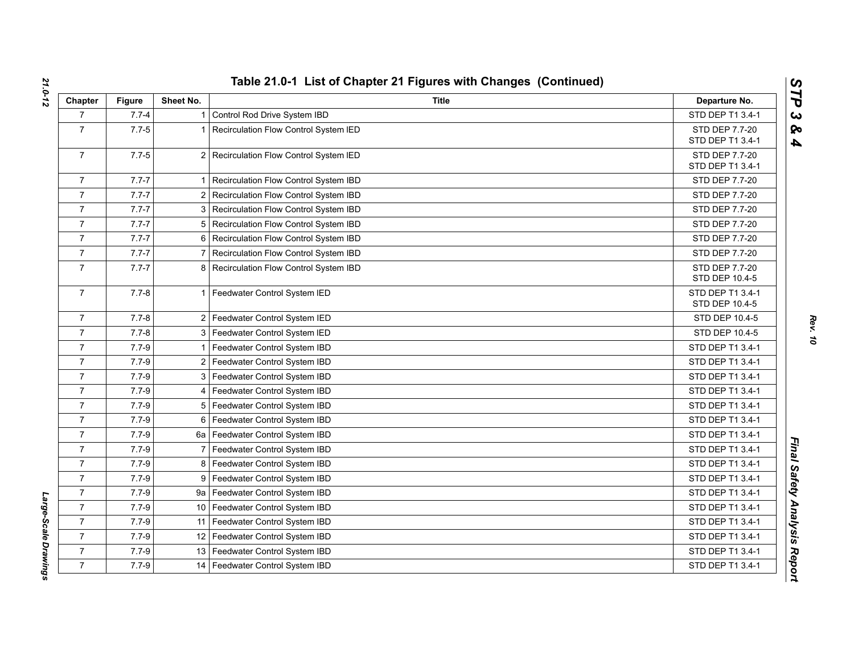| Chapter        | <b>Figure</b> | Sheet No.      | <b>Title</b>                          | Departure No.                      |
|----------------|---------------|----------------|---------------------------------------|------------------------------------|
| $\overline{7}$ | $7.7 - 4$     |                | Control Rod Drive System IBD          | STD DEP T1 3.4-1                   |
| $\overline{7}$ | $7.7 - 5$     |                | Recirculation Flow Control System IED | STD DEP 7.7-20                     |
|                |               |                |                                       | STD DEP T1 3.4-1                   |
| $\overline{7}$ | $7.7 - 5$     | $\overline{2}$ | Recirculation Flow Control System IED | STD DEP 7.7-20<br>STD DEP T1 3.4-1 |
| $\overline{7}$ | $7.7 - 7$     |                | Recirculation Flow Control System IBD | STD DEP 7.7-20                     |
| $\overline{7}$ | $7.7 - 7$     | 2              | Recirculation Flow Control System IBD | STD DEP 7.7-20                     |
| $\overline{7}$ | $7.7 - 7$     | 3              | Recirculation Flow Control System IBD | <b>STD DEP 7.7-20</b>              |
| $\overline{7}$ | $7.7 - 7$     | 5              | Recirculation Flow Control System IBD | STD DEP 7.7-20                     |
| $\overline{7}$ | $7.7 - 7$     | 6              | Recirculation Flow Control System IBD | <b>STD DEP 7.7-20</b>              |
| $\overline{7}$ | $7.7 - 7$     |                | Recirculation Flow Control System IBD | STD DEP 7.7-20                     |
| $\overline{7}$ | $7.7 - 7$     | 8              | Recirculation Flow Control System IBD | STD DEP 7.7-20<br>STD DEP 10.4-5   |
| $\overline{7}$ | $7.7 - 8$     | 1              | Feedwater Control System IED          | STD DEP T1 3.4-1<br>STD DEP 10.4-5 |
| $\overline{7}$ | $7.7 - 8$     | $\overline{2}$ | Feedwater Control System IED          | STD DEP 10.4-5                     |
| $\overline{7}$ | $7.7 - 8$     | 3              | Feedwater Control System IED          | STD DEP 10.4-5                     |
| $\overline{7}$ | $7.7 - 9$     |                | Feedwater Control System IBD          | STD DEP T1 3.4-1                   |
| $\overline{7}$ | $7.7 - 9$     | 2              | Feedwater Control System IBD          | STD DEP T1 3.4-1                   |
| $\overline{7}$ | $7.7 - 9$     | 3              | Feedwater Control System IBD          | STD DEP T1 3.4-1                   |
| $\overline{7}$ | $7.7 - 9$     |                | Feedwater Control System IBD          | STD DEP T1 3.4-1                   |
| $\overline{7}$ | $7.7 - 9$     | 5              | Feedwater Control System IBD          | STD DEP T1 3.4-1                   |
| $\overline{7}$ | $7.7 - 9$     | 6              | Feedwater Control System IBD          | STD DEP T1 3.4-1                   |
| $\overline{7}$ | $7.7 - 9$     | 6a             | Feedwater Control System IBD          | STD DEP T1 3.4-1                   |
| $\overline{7}$ | $7.7 - 9$     |                | Feedwater Control System IBD          | STD DEP T1 3.4-1                   |
| $\overline{7}$ | $7.7 - 9$     | 8              | Feedwater Control System IBD          | STD DEP T1 3.4-1                   |
| $\overline{7}$ | $7.7 - 9$     | 9              | Feedwater Control System IBD          | STD DEP T1 3.4-1                   |
| $\overline{7}$ | $7.7 - 9$     |                | 9a   Feedwater Control System IBD     | STD DEP T1 3.4-1                   |
| $\overline{7}$ | $7.7 - 9$     | 10             | Feedwater Control System IBD          | STD DEP T1 3.4-1                   |
| $\overline{7}$ | $7.7 - 9$     | 11             | Feedwater Control System IBD          | STD DEP T1 3.4-1                   |
| $\overline{7}$ | $7.7 - 9$     | 12             | Feedwater Control System IBD          | STD DEP T1 3.4-1                   |
| $\overline{7}$ | $7.7 - 9$     | 13             | Feedwater Control System IBD          | STD DEP T1 3.4-1                   |
| $\overline{7}$ | $7.7 - 9$     | 14             | Feedwater Control System IBD          | STD DEP T1 3.4-1                   |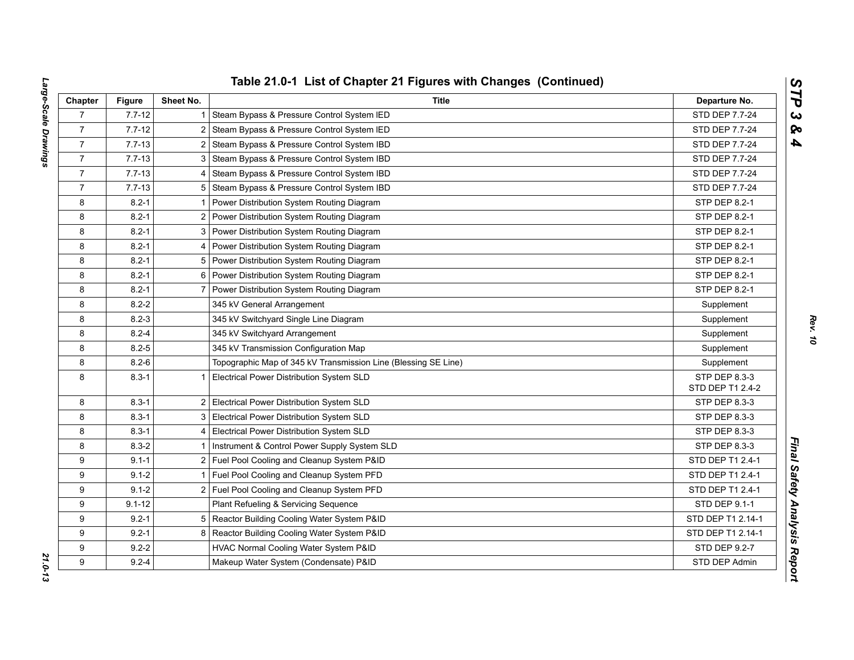| Chapter        | <b>Figure</b> | Sheet No.      | <b>Title</b>                                                   | Departure No.                     |
|----------------|---------------|----------------|----------------------------------------------------------------|-----------------------------------|
| $\overline{7}$ | $7.7 - 12$    | 1.             | Steam Bypass & Pressure Control System IED                     | STD DEP 7.7-24                    |
| $\overline{7}$ | $7.7 - 12$    | $\overline{2}$ | Steam Bypass & Pressure Control System IED                     | STD DEP 7.7-24                    |
| $\overline{7}$ | $7.7 - 13$    | 2 <sub>1</sub> | Steam Bypass & Pressure Control System IBD                     | STD DEP 7.7-24                    |
| $\overline{7}$ | $7.7 - 13$    | 3              | Steam Bypass & Pressure Control System IBD                     | STD DEP 7.7-24                    |
| $\overline{7}$ | $7.7 - 13$    |                | 4 Steam Bypass & Pressure Control System IBD                   | STD DEP 7.7-24                    |
| $\overline{7}$ | $7.7 - 13$    |                | 5 Steam Bypass & Pressure Control System IBD                   | STD DEP 7.7-24                    |
| 8              | $8.2 - 1$     |                | Power Distribution System Routing Diagram                      | STP DEP 8.2-1                     |
| 8              | $8.2 - 1$     | $\overline{2}$ | Power Distribution System Routing Diagram                      | STP DEP 8.2-1                     |
| 8              | $8.2 - 1$     | 3              | Power Distribution System Routing Diagram                      | STP DEP 8.2-1                     |
| 8              | $8.2 - 1$     | 4              | Power Distribution System Routing Diagram                      | STP DEP 8.2-1                     |
| 8              | $8.2 - 1$     |                | 5 Power Distribution System Routing Diagram                    | STP DEP 8.2-1                     |
| 8              | $8.2 - 1$     |                | 6 Power Distribution System Routing Diagram                    | STP DEP 8.2-1                     |
| 8              | $8.2 - 1$     | $\overline{7}$ | Power Distribution System Routing Diagram                      | STP DEP 8.2-1                     |
| 8              | $8.2 - 2$     |                | 345 kV General Arrangement                                     | Supplement                        |
| 8              | $8.2 - 3$     |                | 345 kV Switchyard Single Line Diagram                          | Supplement                        |
| 8              | $8.2 - 4$     |                | 345 kV Switchyard Arrangement                                  | Supplement                        |
| 8              | $8.2 - 5$     |                | 345 kV Transmission Configuration Map                          | Supplement                        |
| 8              | $8.2 - 6$     |                | Topographic Map of 345 kV Transmission Line (Blessing SE Line) | Supplement                        |
| 8              | $8.3 - 1$     | $\mathbf{1}$   | Electrical Power Distribution System SLD                       | STP DEP 8.3-3<br>STD DEP T1 2.4-2 |
| 8              | $8.3 - 1$     |                | 2 Electrical Power Distribution System SLD                     | STP DEP 8.3-3                     |
| 8              | $8.3 - 1$     |                | 3 Electrical Power Distribution System SLD                     | STP DEP 8.3-3                     |
| 8              | $8.3 - 1$     |                | 4 Electrical Power Distribution System SLD                     | STP DEP 8.3-3                     |
| 8              | $8.3 - 2$     |                | Instrument & Control Power Supply System SLD                   | STP DEP 8.3-3                     |
| 9              | $9.1 - 1$     |                | 2 Fuel Pool Cooling and Cleanup System P&ID                    | STD DEP T1 2.4-1                  |
| 9              | $9.1 - 2$     |                | Fuel Pool Cooling and Cleanup System PFD                       | STD DEP T1 2.4-1                  |
| 9              | $9.1 - 2$     |                | 2 Fuel Pool Cooling and Cleanup System PFD                     | STD DEP T1 2.4-1                  |
| 9              | $9.1 - 12$    |                | Plant Refueling & Servicing Sequence                           | STD DEP 9.1-1                     |
| 9              | $9.2 - 1$     |                | 5 Reactor Building Cooling Water System P&ID                   | STD DEP T1 2.14-1                 |
| 9              | $9.2 - 1$     | 8              | Reactor Building Cooling Water System P&ID                     | STD DEP T1 2.14-1                 |
| 9              | $9.2 - 2$     |                | HVAC Normal Cooling Water System P&ID                          | STD DEP 9.2-7                     |
| 9              | $9.2 - 4$     |                | Makeup Water System (Condensate) P&ID                          | STD DEP Admin                     |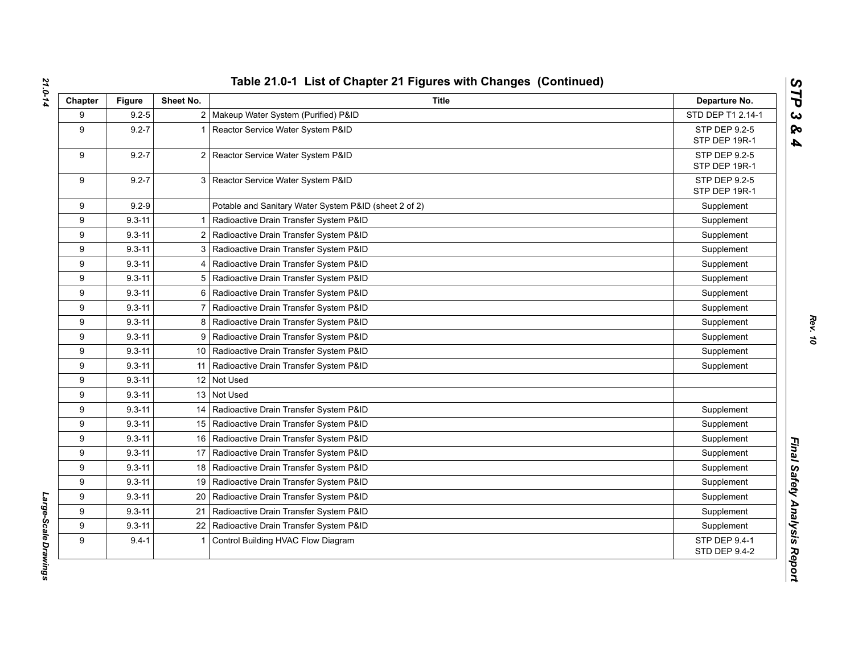| Chapter | <b>Figure</b> | Sheet No.      | <b>Title</b>                                          | Departure No.                         |
|---------|---------------|----------------|-------------------------------------------------------|---------------------------------------|
| 9       | $9.2 - 5$     |                | 2   Makeup Water System (Purified) P&ID               | STD DEP T1 2.14-1                     |
| 9       | $9.2 - 7$     |                | Reactor Service Water System P&ID                     | STP DEP 9.2-5<br>STP DEP 19R-1        |
| 9       | $9.2 - 7$     |                | 2 Reactor Service Water System P&ID                   | STP DEP 9.2-5<br>STP DEP 19R-1        |
| 9       | $9.2 - 7$     |                | 3 Reactor Service Water System P&ID                   | STP DEP 9.2-5<br>STP DEP 19R-1        |
| 9       | $9.2 - 9$     |                | Potable and Sanitary Water System P&ID (sheet 2 of 2) | Supplement                            |
| 9       | $9.3 - 11$    |                | Radioactive Drain Transfer System P&ID                | Supplement                            |
| 9       | $9.3 - 11$    |                | 2 Radioactive Drain Transfer System P&ID              | Supplement                            |
| 9       | $9.3 - 11$    |                | 3   Radioactive Drain Transfer System P&ID            | Supplement                            |
| 9       | $9.3 - 11$    |                | 4   Radioactive Drain Transfer System P&ID            | Supplement                            |
| 9       | $9.3 - 11$    |                | 5 Radioactive Drain Transfer System P&ID              | Supplement                            |
| 9       | $9.3 - 11$    | 6              | Radioactive Drain Transfer System P&ID                | Supplement                            |
| 9       | $9.3 - 11$    | $\overline{7}$ | Radioactive Drain Transfer System P&ID                | Supplement                            |
| 9       | $9.3 - 11$    |                | 8 Radioactive Drain Transfer System P&ID              | Supplement                            |
| 9       | $9.3 - 11$    |                | 9   Radioactive Drain Transfer System P&ID            | Supplement                            |
| 9       | $9.3 - 11$    |                | 10   Radioactive Drain Transfer System P&ID           | Supplement                            |
| 9       | $9.3 - 11$    |                | 11   Radioactive Drain Transfer System P&ID           | Supplement                            |
| 9       | $9.3 - 11$    |                | 12 Not Used                                           |                                       |
| 9       | $9.3 - 11$    |                | 13 Not Used                                           |                                       |
| 9       | $9.3 - 11$    |                | 14   Radioactive Drain Transfer System P&ID           | Supplement                            |
| 9       | $9.3 - 11$    |                | 15   Radioactive Drain Transfer System P&ID           | Supplement                            |
| 9       | $9.3 - 11$    |                | 16   Radioactive Drain Transfer System P&ID           | Supplement                            |
| 9       | $9.3 - 11$    |                | 17   Radioactive Drain Transfer System P&ID           | Supplement                            |
| 9       | $9.3 - 11$    |                | 18   Radioactive Drain Transfer System P&ID           | Supplement                            |
| 9       | $9.3 - 11$    |                | 19   Radioactive Drain Transfer System P&ID           | Supplement                            |
| 9       | $9.3 - 11$    | 20             | Radioactive Drain Transfer System P&ID                | Supplement                            |
| 9       | $9.3 - 11$    | 21             | Radioactive Drain Transfer System P&ID                | Supplement                            |
| 9       | $9.3 - 11$    | 22             | Radioactive Drain Transfer System P&ID                | Supplement                            |
| 9       | $9.4 - 1$     |                | Control Building HVAC Flow Diagram                    | STP DEP 9.4-1<br><b>STD DEP 9.4-2</b> |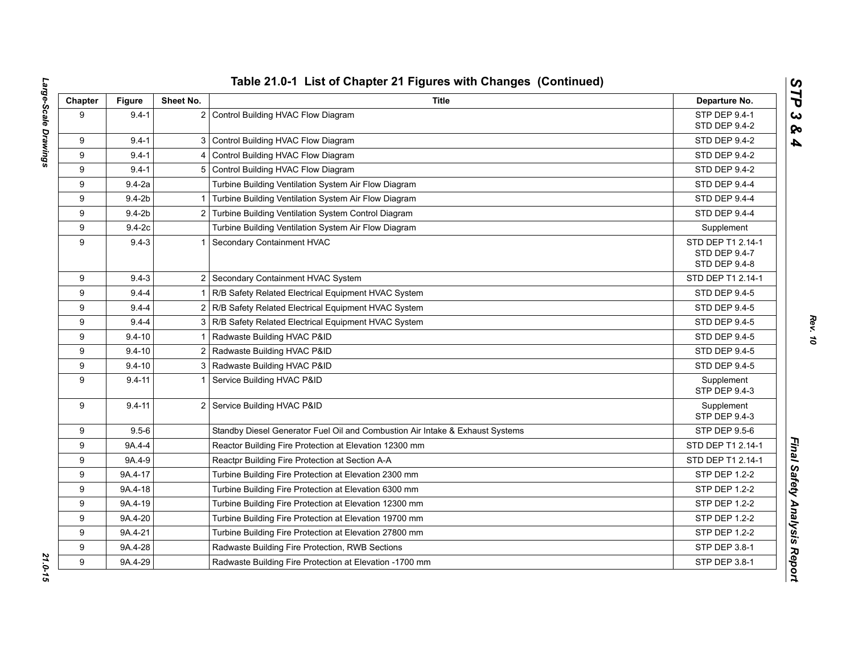| Chapter | <b>Figure</b> | Sheet No. | <b>Title</b>                                                                  | Departure No.                                       |
|---------|---------------|-----------|-------------------------------------------------------------------------------|-----------------------------------------------------|
| 9       | $9.4 - 1$     |           | 2 Control Building HVAC Flow Diagram                                          | STP DEP 9.4-1<br>STD DEP 9.4-2                      |
| 9       | $9.4 - 1$     |           | 3 Control Building HVAC Flow Diagram                                          | STD DEP 9.4-2                                       |
| 9       | $9.4 - 1$     |           | 4 Control Building HVAC Flow Diagram                                          | STD DEP 9.4-2                                       |
| 9       | $9.4 - 1$     |           | 5 Control Building HVAC Flow Diagram                                          | <b>STD DEP 9.4-2</b>                                |
| 9       | $9.4 - 2a$    |           | Turbine Building Ventilation System Air Flow Diagram                          | STD DEP 9.4-4                                       |
| 9       | $9.4 - 2b$    |           | 1 Turbine Building Ventilation System Air Flow Diagram                        | STD DEP 9.4-4                                       |
| 9       | $9.4-2b$      |           | 2 Turbine Building Ventilation System Control Diagram                         | <b>STD DEP 9.4-4</b>                                |
| 9       | $9.4-2c$      |           | Turbine Building Ventilation System Air Flow Diagram                          | Supplement                                          |
| 9       | $9.4 - 3$     |           | 1 Secondary Containment HVAC                                                  | STD DEP T1 2.14-1<br>STD DEP 9.4-7<br>STD DEP 9.4-8 |
| 9       | $9.4 - 3$     |           | 2 Secondary Containment HVAC System                                           | STD DEP T1 2.14-1                                   |
| 9       | $9.4 - 4$     |           | 1 R/B Safety Related Electrical Equipment HVAC System                         | <b>STD DEP 9.4-5</b>                                |
| 9       | $9.4 - 4$     |           | 2 R/B Safety Related Electrical Equipment HVAC System                         | STD DEP 9.4-5                                       |
| 9       | $9.4 - 4$     |           | 3 R/B Safety Related Electrical Equipment HVAC System                         | STD DEP 9.4-5                                       |
| 9       | $9.4 - 10$    |           | 1 Radwaste Building HVAC P&ID                                                 | STD DEP 9.4-5                                       |
| 9       | $9.4 - 10$    |           | 2 Radwaste Building HVAC P&ID                                                 | STD DEP 9.4-5                                       |
| 9       | $9.4 - 10$    |           | 3   Radwaste Building HVAC P&ID                                               | STD DEP 9.4-5                                       |
| 9       | $9.4 - 11$    |           | Service Building HVAC P&ID                                                    | Supplement<br>STP DEP 9.4-3                         |
| 9       | $9.4 - 11$    |           | 2 Service Building HVAC P&ID                                                  | Supplement<br>STP DEP 9.4-3                         |
| 9       | $9.5 - 6$     |           | Standby Diesel Generator Fuel Oil and Combustion Air Intake & Exhaust Systems | <b>STP DEP 9.5-6</b>                                |
| 9       | 9A.4-4        |           | Reactor Building Fire Protection at Elevation 12300 mm                        | STD DEP T1 2.14-1                                   |
| 9       | 9A.4-9        |           | Reactpr Building Fire Protection at Section A-A                               | STD DEP T1 2.14-1                                   |
| 9       | 9A.4-17       |           | Turbine Building Fire Protection at Elevation 2300 mm                         | STP DEP 1.2-2                                       |
| 9       | 9A.4-18       |           | Turbine Building Fire Protection at Elevation 6300 mm                         | STP DEP 1.2-2                                       |
| 9       | 9A.4-19       |           | Turbine Building Fire Protection at Elevation 12300 mm                        | <b>STP DEP 1.2-2</b>                                |
| 9       | 9A.4-20       |           | Turbine Building Fire Protection at Elevation 19700 mm                        | STP DEP 1.2-2                                       |
| 9       | 9A.4-21       |           | Turbine Building Fire Protection at Elevation 27800 mm                        | STP DEP 1.2-2                                       |
| 9       | 9A.4-28       |           | Radwaste Building Fire Protection, RWB Sections                               | STP DEP 3.8-1                                       |
| 9       | 9A.4-29       |           | Radwaste Building Fire Protection at Elevation -1700 mm                       | STP DEP 3.8-1                                       |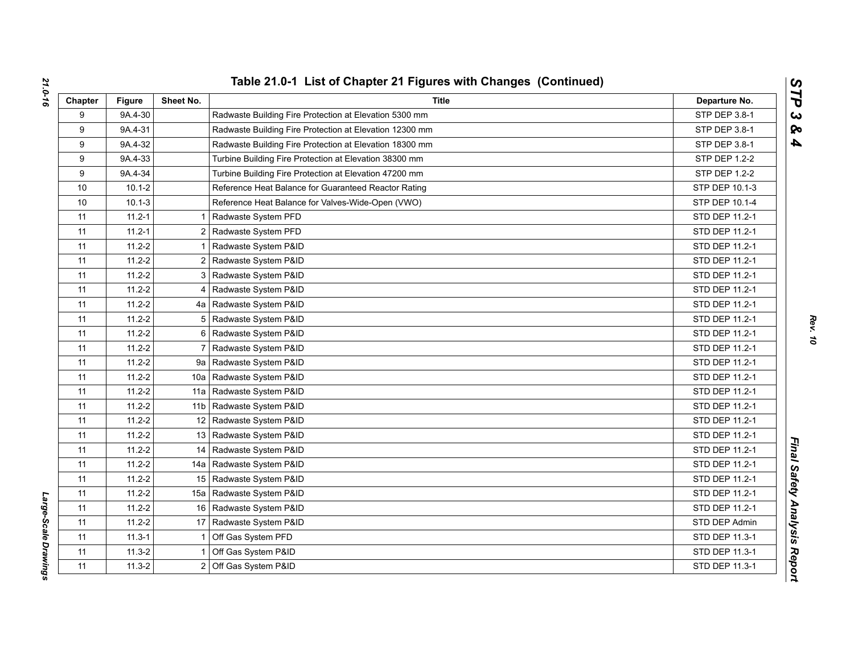| Chapter | <b>Figure</b> | Sheet No.       | Title                                                   | Departure No.  |
|---------|---------------|-----------------|---------------------------------------------------------|----------------|
| 9       | 9A.4-30       |                 | Radwaste Building Fire Protection at Elevation 5300 mm  | STP DEP 3.8-1  |
| 9       | 9A.4-31       |                 | Radwaste Building Fire Protection at Elevation 12300 mm | STP DEP 3.8-1  |
| 9       | 9A.4-32       |                 | Radwaste Building Fire Protection at Elevation 18300 mm | STP DEP 3.8-1  |
| 9       | 9A.4-33       |                 | Turbine Building Fire Protection at Elevation 38300 mm  | STP DEP 1.2-2  |
| 9       | 9A.4-34       |                 | Turbine Building Fire Protection at Elevation 47200 mm  | STP DEP 1.2-2  |
| 10      | $10.1 - 2$    |                 | Reference Heat Balance for Guaranteed Reactor Rating    | STP DEP 10.1-3 |
| 10      | $10.1 - 3$    |                 | Reference Heat Balance for Valves-Wide-Open (VWO)       | STP DEP 10.1-4 |
| 11      | $11.2 - 1$    |                 | Radwaste System PFD                                     | STD DEP 11.2-1 |
| 11      | $11.2 - 1$    | 2               | Radwaste System PFD                                     | STD DEP 11.2-1 |
| 11      | $11.2 - 2$    |                 | Radwaste System P&ID                                    | STD DEP 11.2-1 |
| 11      | $11.2 - 2$    | 2               | Radwaste System P&ID                                    | STD DEP 11.2-1 |
| 11      | $11.2 - 2$    | 3               | Radwaste System P&ID                                    | STD DEP 11.2-1 |
| 11      | $11.2 - 2$    | 4               | Radwaste System P&ID                                    | STD DEP 11.2-1 |
| 11      | $11.2 - 2$    |                 | 4a   Radwaste System P&ID                               | STD DEP 11.2-1 |
| 11      | $11.2 - 2$    | 5               | Radwaste System P&ID                                    | STD DEP 11.2-1 |
| 11      | $11.2 - 2$    | 6               | Radwaste System P&ID                                    | STD DEP 11.2-1 |
| 11      | $11.2 - 2$    | $\overline{7}$  | Radwaste System P&ID                                    | STD DEP 11.2-1 |
| 11      | $11.2 - 2$    | 9а              | Radwaste System P&ID                                    | STD DEP 11.2-1 |
| 11      | $11.2 - 2$    | 10a             | Radwaste System P&ID                                    | STD DEP 11.2-1 |
| 11      | $11.2 - 2$    | 11a             | Radwaste System P&ID                                    | STD DEP 11.2-1 |
| 11      | $11.2 - 2$    | 11 <sub>b</sub> | Radwaste System P&ID                                    | STD DEP 11.2-1 |
| 11      | $11.2 - 2$    | 12              | Radwaste System P&ID                                    | STD DEP 11.2-1 |
| 11      | $11.2 - 2$    |                 | 13 Radwaste System P&ID                                 | STD DEP 11.2-1 |
| 11      | $11.2 - 2$    | 14              | Radwaste System P&ID                                    | STD DEP 11.2-1 |
| 11      | $11.2 - 2$    | 14a             | Radwaste System P&ID                                    | STD DEP 11.2-1 |
| 11      | $11.2 - 2$    |                 | 15 Radwaste System P&ID                                 | STD DEP 11.2-1 |
| 11      | $11.2 - 2$    | 15a             | Radwaste System P&ID                                    | STD DEP 11.2-1 |
| 11      | $11.2 - 2$    |                 | 16 Radwaste System P&ID                                 | STD DEP 11.2-1 |
| 11      | $11.2 - 2$    | 17              | Radwaste System P&ID                                    | STD DEP Admin  |
| 11      | $11.3 - 1$    |                 | Off Gas System PFD                                      | STD DEP 11.3-1 |
| 11      | $11.3 - 2$    |                 | Off Gas System P&ID                                     | STD DEP 11.3-1 |
| 11      | $11.3 - 2$    | $\overline{2}$  | Off Gas System P&ID                                     | STD DEP 11.3-1 |

Large-Scale Drawings *Large-Scale Drawings*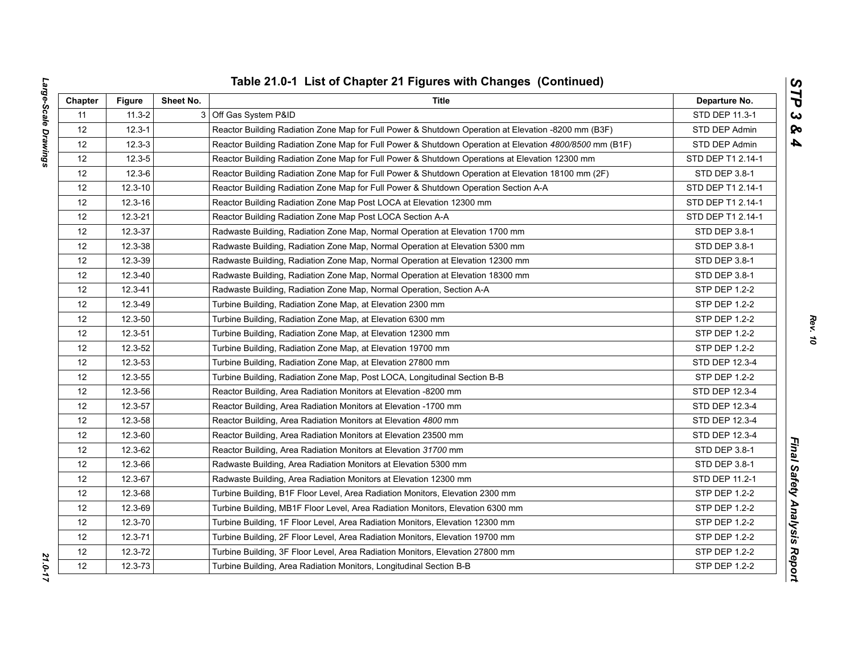| ì<br>l | ļ<br>ĺ<br>$\overline{1}$<br>J<br>ׇ֚֘֡<br>:<br>i<br>֧֧֧֧֧֧֧֧֧֧֧֧֧֧֧֛֧֧֧֧֧֛֚֚֚֚֚֚֚֚֚֚֚֚֚֚֚֝֝֓֜֓֜֓֓֜֜֜֓֜֜֓֜֓֜֓֓֓֜֓ |
|--------|-----------------------------------------------------------------------------------------------------------------|
|        |                                                                                                                 |
|        |                                                                                                                 |
|        |                                                                                                                 |
|        |                                                                                                                 |
|        |                                                                                                                 |
|        |                                                                                                                 |
|        |                                                                                                                 |
|        |                                                                                                                 |
|        | <b>E</b><br>l<br>١<br>$\overline{a}$<br>י                                                                       |

| Chapter           | <b>Figure</b> | Sheet No.                                                   | Title                                                                                                   | Departure No.        |
|-------------------|---------------|-------------------------------------------------------------|---------------------------------------------------------------------------------------------------------|----------------------|
| 11                | $11.3 - 2$    |                                                             | 3 Off Gas System P&ID                                                                                   | STD DEP 11.3-1       |
| 12                | $12.3 - 1$    |                                                             | Reactor Building Radiation Zone Map for Full Power & Shutdown Operation at Elevation -8200 mm (B3F)     | STD DEP Admin        |
| 12                | $12.3 - 3$    |                                                             | Reactor Building Radiation Zone Map for Full Power & Shutdown Operation at Elevation 4800/8500 mm (B1F) | STD DEP Admin        |
| 12                | $12.3 - 5$    |                                                             | Reactor Building Radiation Zone Map for Full Power & Shutdown Operations at Elevation 12300 mm          | STD DEP T1 2.14-1    |
| 12                | $12.3 - 6$    |                                                             | Reactor Building Radiation Zone Map for Full Power & Shutdown Operation at Elevation 18100 mm (2F)      | STD DEP 3.8-1        |
| 12                | $12.3 - 10$   |                                                             | Reactor Building Radiation Zone Map for Full Power & Shutdown Operation Section A-A                     | STD DEP T1 2.14-1    |
| 12                | $12.3 - 16$   |                                                             | Reactor Building Radiation Zone Map Post LOCA at Elevation 12300 mm                                     | STD DEP T1 2.14-1    |
| 12                | $12.3 - 21$   |                                                             | Reactor Building Radiation Zone Map Post LOCA Section A-A                                               | STD DEP T1 2.14-1    |
| 12                | 12.3-37       |                                                             | Radwaste Building, Radiation Zone Map, Normal Operation at Elevation 1700 mm                            | STD DEP 3.8-1        |
| 12                | 12.3-38       |                                                             | Radwaste Building, Radiation Zone Map, Normal Operation at Elevation 5300 mm                            | STD DEP 3.8-1        |
| 12                | 12.3-39       |                                                             | Radwaste Building, Radiation Zone Map, Normal Operation at Elevation 12300 mm                           | STD DEP 3.8-1        |
| 12                | 12.3-40       |                                                             | Radwaste Building, Radiation Zone Map, Normal Operation at Elevation 18300 mm                           | STD DEP 3.8-1        |
| 12                | 12.3-41       |                                                             | Radwaste Building, Radiation Zone Map, Normal Operation, Section A-A                                    | STP DEP 1.2-2        |
| $12 \overline{ }$ | 12.3-49       |                                                             | Turbine Building, Radiation Zone Map, at Elevation 2300 mm                                              | <b>STP DEP 1.2-2</b> |
| 12                | 12.3-50       |                                                             | Turbine Building, Radiation Zone Map, at Elevation 6300 mm                                              | <b>STP DEP 1.2-2</b> |
| 12                | 12.3-51       |                                                             | Turbine Building, Radiation Zone Map, at Elevation 12300 mm                                             | STP DEP 1.2-2        |
| 12                | 12.3-52       |                                                             | Turbine Building, Radiation Zone Map, at Elevation 19700 mm                                             | STP DEP 1.2-2        |
| 12                | 12.3-53       | Turbine Building, Radiation Zone Map, at Elevation 27800 mm |                                                                                                         | STD DEP 12.3-4       |
| 12                | 12.3-55       |                                                             | Turbine Building, Radiation Zone Map, Post LOCA, Longitudinal Section B-B                               | STP DEP 1.2-2        |
| 12                | 12.3-56       |                                                             | Reactor Building, Area Radiation Monitors at Elevation -8200 mm                                         | STD DEP 12.3-4       |
| 12                | 12.3-57       |                                                             | Reactor Building, Area Radiation Monitors at Elevation -1700 mm                                         | STD DEP 12.3-4       |
| 12                | 12.3-58       |                                                             | Reactor Building, Area Radiation Monitors at Elevation 4800 mm                                          | STD DEP 12.3-4       |
| $12 \overline{ }$ | 12.3-60       |                                                             | Reactor Building, Area Radiation Monitors at Elevation 23500 mm                                         | STD DEP 12.3-4       |
| 12                | 12.3-62       |                                                             | Reactor Building, Area Radiation Monitors at Elevation 31700 mm                                         | STD DEP 3.8-1        |
| 12                | 12.3-66       |                                                             | Radwaste Building, Area Radiation Monitors at Elevation 5300 mm                                         | STD DEP 3.8-1        |
| 12                | 12.3-67       |                                                             | Radwaste Building, Area Radiation Monitors at Elevation 12300 mm                                        | STD DEP 11.2-1       |
| 12                | 12.3-68       |                                                             | Turbine Building, B1F Floor Level, Area Radiation Monitors, Elevation 2300 mm                           | STP DEP 1.2-2        |
| 12                | 12.3-69       |                                                             | Turbine Building, MB1F Floor Level, Area Radiation Monitors, Elevation 6300 mm                          | STP DEP 1.2-2        |
| 12                | 12.3-70       |                                                             | Turbine Building, 1F Floor Level, Area Radiation Monitors, Elevation 12300 mm                           | <b>STP DEP 1.2-2</b> |
| 12                | $12.3 - 71$   |                                                             | Turbine Building, 2F Floor Level, Area Radiation Monitors, Elevation 19700 mm                           | <b>STP DEP 1.2-2</b> |
| 12                | 12.3-72       |                                                             | Turbine Building, 3F Floor Level, Area Radiation Monitors, Elevation 27800 mm                           | STP DEP 1.2-2        |
| 12                | 12.3-73       |                                                             | Turbine Building, Area Radiation Monitors, Longitudinal Section B-B                                     | <b>STP DEP 1.2-2</b> |

*Rev. 10*

*STP 3 & 4*